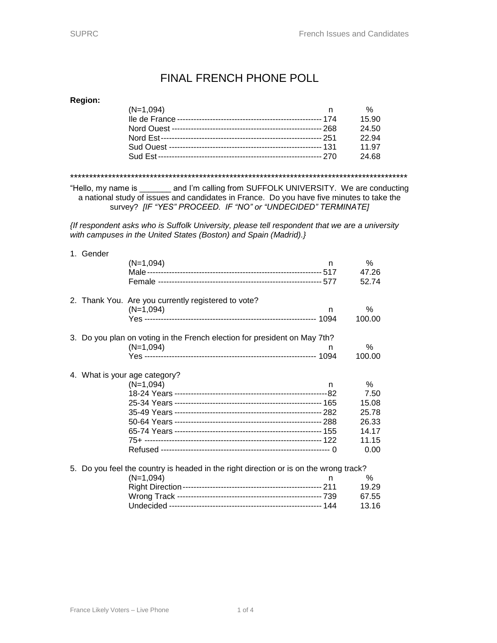## FINAL FRENCH PHONE POLL

### **Region:**

| $(N=1,094)$ | n | %     |
|-------------|---|-------|
|             |   | 15.90 |
|             |   | 24.50 |
|             |   | 22.94 |
|             |   | 11.97 |
|             |   | 24.68 |
|             |   |       |

\*\*\*\*\*\*\*\*\*\*\*\*\*\*\*\*\*\*\*\*\*\*\*\*\*\*\*\*\*\*\*\*\*\*\*\*\*\*\*\*\*\*\*\*\*\*\*\*\*\*\*\*\*\*\*\*\*\*\*\*\*\*\*\*\*\*\*\*\*\*\*\*\*\*\*\*\*\*\*\*\*\*\*\*\*\*\*\*\*

"Hello, my name is \_\_\_\_\_\_\_ and I'm calling from SUFFOLK UNIVERSITY. We are conducting a national study of issues and candidates in France. Do you have five minutes to take the survey? *[IF "YES" PROCEED. IF "NO" or "UNDECIDED" TERMINATE]*

*{If respondent asks who is Suffolk University, please tell respondent that we are a university with campuses in the United States (Boston) and Spain (Madrid).}*

|    | 1. Gender |                                                                                    |    |        |
|----|-----------|------------------------------------------------------------------------------------|----|--------|
|    |           | $(N=1,094)$                                                                        | n. | $\%$   |
|    |           |                                                                                    |    | 47.26  |
|    |           |                                                                                    |    | 52.74  |
|    |           | 2. Thank You. Are you currently registered to vote?                                |    |        |
|    |           | $(N=1,094)$                                                                        | n  | $\%$   |
|    |           |                                                                                    |    | 100.00 |
|    |           | 3. Do you plan on voting in the French election for president on May 7th?          |    |        |
|    |           | $(N=1,094)$                                                                        | n  | $\%$   |
|    |           |                                                                                    |    | 100.00 |
|    |           | 4. What is your age category?                                                      |    |        |
|    |           | $(N=1,094)$                                                                        | n  | %      |
|    |           |                                                                                    |    | 7.50   |
|    |           |                                                                                    |    | 15.08  |
|    |           |                                                                                    |    | 25.78  |
|    |           |                                                                                    |    | 26.33  |
|    |           |                                                                                    |    | 14.17  |
|    |           |                                                                                    |    | 11.15  |
|    |           |                                                                                    |    | 0.00   |
| 5. |           | Do you feel the country is headed in the right direction or is on the wrong track? |    |        |
|    |           | $(N=1,094)$                                                                        | n. | %      |
|    |           |                                                                                    |    | 19.29  |
|    |           |                                                                                    |    | 67.55  |
|    |           |                                                                                    |    | 13.16  |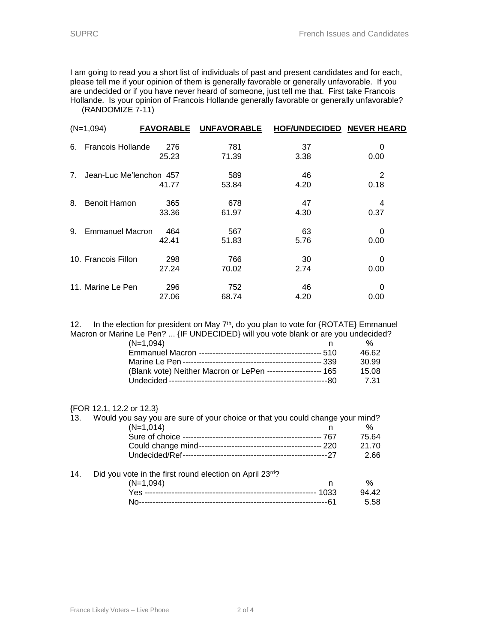I am going to read you a short list of individuals of past and present candidates and for each, please tell me if your opinion of them is generally favorable or generally unfavorable. If you are undecided or if you have never heard of someone, just tell me that. First take Francois Hollande. Is your opinion of Francois Hollande generally favorable or generally unfavorable? (RANDOMIZE 7-11)

|    | $(N=1,094)$             | <b>FAVORABLE</b> | <b>UNFAVORABLE</b> | <b>HOF/UNDECIDED</b> | <b>NEVER HEARD</b> |
|----|-------------------------|------------------|--------------------|----------------------|--------------------|
| 6. | Francois Hollande       | 276<br>25.23     | 781<br>71.39       | 37<br>3.38           | 0<br>0.00          |
| 7. | Jean-Luc Me'lenchon 457 | 41.77            | 589<br>53.84       | 46<br>4.20           | 2<br>0.18          |
| 8. | Benoit Hamon            | 365<br>33.36     | 678<br>61.97       | 47<br>4.30           | 4<br>0.37          |
| 9. | <b>Emmanuel Macron</b>  | 464<br>42.41     | 567<br>51.83       | 63<br>5.76           | 0<br>0.00          |
|    | 10. Francois Fillon     | 298<br>27.24     | 766<br>70.02       | 30<br>2.74           | 0<br>0.00          |
|    | 11. Marine Le Pen       | 296<br>27.06     | 752<br>68.74       | 46<br>4.20           | 0<br>0.00          |

12. In the election for president on May  $7<sup>th</sup>$ , do you plan to vote for  ${ROTATE}$  Emmanuel Macron or Marine Le Pen? ... {IF UNDECIDED} will you vote blank or are you undecided?

| (N=1,094)                                                     | %     |
|---------------------------------------------------------------|-------|
|                                                               | 46.62 |
|                                                               | 30.99 |
| (Blank vote) Neither Macron or LePen -------------------- 165 | 15.08 |
|                                                               | -7.31 |

#### {FOR 12.1, 12.2 or 12.3}

| 13. | Would you say you are sure of your choice or that you could change your mind? |       |       |
|-----|-------------------------------------------------------------------------------|-------|-------|
|     | $(N=1,014)$                                                                   |       | ℅     |
|     |                                                                               | - 767 | 75.64 |
|     |                                                                               |       | 21.70 |
|     |                                                                               |       | 2.66  |
| 14. | Did you vote in the first round election on April 23rd?                       |       |       |
|     | $(N=1,094)$                                                                   | n     | ℅     |
|     |                                                                               | 1033  | 94.42 |
|     | No.                                                                           | -61   | 5.58  |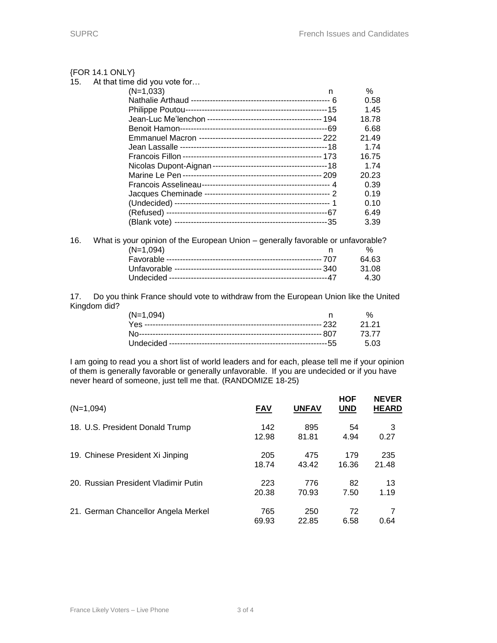#### ${FOR 14.1}$ 15. At the

| ONLY}                    |       |
|--------------------------|-------|
| at time did you vote for |       |
| $(N=1,033)$<br>n         | %     |
|                          | 0.58  |
|                          | 1.45  |
|                          | 18.78 |
|                          | 6.68  |
|                          | 21.49 |
|                          | 1.74  |
|                          | 16.75 |
|                          | 1.74  |
|                          | 20.23 |
|                          | 0.39  |
|                          | 0.19  |
|                          | 0.10  |
|                          | 6.49  |
|                          | 3.39  |
|                          |       |

| 16. | What is your opinion of the European Union – generally favorable or unfavorable? |               |
|-----|----------------------------------------------------------------------------------|---------------|
|     | $(N=1.094)$                                                                      | $\frac{0}{6}$ |
|     |                                                                                  | 64.63         |
|     |                                                                                  | 31.08         |
|     |                                                                                  | 4.30          |

17. Do you think France should vote to withdraw from the European Union like the United Kingdom did?

| $(N=1,094)$ | $\frac{1}{2}$ |
|-------------|---------------|
|             |               |
|             |               |
|             |               |

I am going to read you a short list of world leaders and for each, please tell me if your opinion of them is generally favorable or generally unfavorable. If you are undecided or if you have never heard of someone, just tell me that. (RANDOMIZE 18-25)

| $(N=1,094)$                          | <b>FAV</b> | <b>UNFAV</b> | <b>HOF</b><br><b>UND</b> | <b>NEVER</b><br><b>HEARD</b> |
|--------------------------------------|------------|--------------|--------------------------|------------------------------|
| 18. U.S. President Donald Trump      | 142        | 895          | 54                       | 3                            |
|                                      | 12.98      | 81.81        | 4.94                     | 0.27                         |
| 19. Chinese President Xi Jinping     | 205        | 475          | 179                      | 235                          |
|                                      | 18.74      | 43.42        | 16.36                    | 21.48                        |
| 20. Russian President Vladimir Putin | 223        | 776          | 82                       | 13                           |
|                                      | 20.38      | 70.93        | 7.50                     | 1.19                         |
| 21. German Chancellor Angela Merkel  | 765        | 250          | 72                       | 7                            |
|                                      | 69.93      | 22.85        | 6.58                     | 0.64                         |